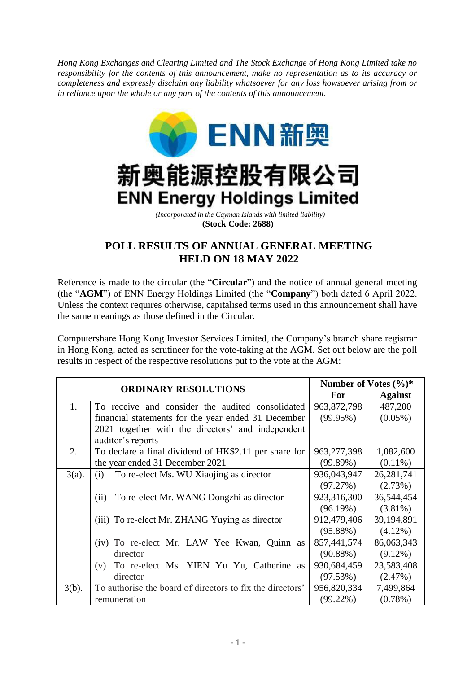*Hong Kong Exchanges and Clearing Limited and The Stock Exchange of Hong Kong Limited take no responsibility for the contents of this announcement, make no representation as to its accuracy or completeness and expressly disclaim any liability whatsoever for any loss howsoever arising from or in reliance upon the whole or any part of the contents of this announcement.*



*(Incorporated in the Cayman Islands with limited liability)* **(Stock Code: 2688)**

**ENN Energy Holdings Limited** 

## **POLL RESULTS OF ANNUAL GENERAL MEETING HELD ON 18 MAY 2022**

Reference is made to the circular (the "**Circular**") and the notice of annual general meeting (the "**AGM**") of ENN Energy Holdings Limited (the "**Company**") both dated 6 April 2022. Unless the context requires otherwise, capitalised terms used in this announcement shall have the same meanings as those defined in the Circular.

Computershare Hong Kong Investor Services Limited, the Company's branch share registrar in Hong Kong, acted as scrutineer for the vote-taking at the AGM. Set out below are the poll results in respect of the respective resolutions put to the vote at the AGM:

|                             |                                                           | Number of Votes $(\%)^*$ |                |
|-----------------------------|-----------------------------------------------------------|--------------------------|----------------|
| <b>ORDINARY RESOLUTIONS</b> |                                                           | <b>For</b>               | <b>Against</b> |
| 1.                          | To receive and consider the audited consolidated          | 963, 872, 798            | 487,200        |
|                             | financial statements for the year ended 31 December       | $(99.95\%)$              | $(0.05\%)$     |
|                             | 2021 together with the directors' and independent         |                          |                |
|                             | auditor's reports                                         |                          |                |
| 2.                          | To declare a final dividend of HK\$2.11 per share for     | 963, 277, 398            | 1,082,600      |
|                             | the year ended 31 December 2021                           | (99.89%)                 | $(0.11\%)$     |
| $3(a)$ .                    | To re-elect Ms. WU Xiaojing as director<br>(i)            | 936,043,947              | 26, 281, 741   |
|                             |                                                           | (97.27%)                 | (2.73%)        |
|                             | To re-elect Mr. WANG Dongzhi as director<br>(11)          | 923,316,300              | 36,544,454     |
|                             |                                                           | (96.19%)                 | $(3.81\%)$     |
|                             | (iii) To re-elect Mr. ZHANG Yuying as director            | 912,479,406              | 39,194,891     |
|                             |                                                           | $(95.88\%)$              | $(4.12\%)$     |
|                             | (iv) To re-elect Mr. LAW Yee Kwan, Quinn as               | 857,441,574              | 86,063,343     |
|                             | director                                                  | $(90.88\%)$              | $(9.12\%)$     |
|                             | To re-elect Ms. YIEN Yu Yu, Catherine as<br>(V)           | 930,684,459              | 23,583,408     |
|                             | director                                                  | (97.53%)                 | (2.47%)        |
| $3(b)$ .                    | To authorise the board of directors to fix the directors' | 956,820,334              | 7,499,864      |
|                             | remuneration                                              | $(99.22\%)$              | $(0.78\%)$     |